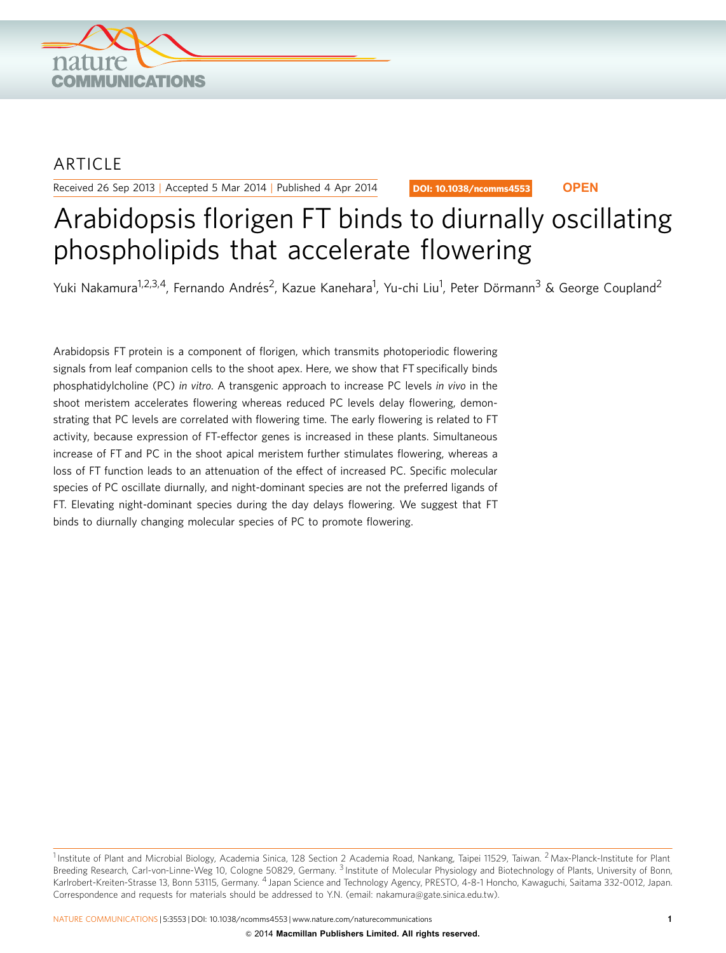

## ARTICLE

Received 26 Sep 2013 | Accepted 5 Mar 2014 | Published 4 Apr 2014

DOI: 10.1038/ncomms4553 **OPEN**

# Arabidopsis florigen FT binds to diurnally oscillating phospholipids that accelerate flowering

Yuki Nakamura<sup>1,2,3,4</sup>, Fernando Andrés<sup>2</sup>, Kazue Kanehara<sup>1</sup>, Yu-chi Liu<sup>1</sup>, Peter Dörmann<sup>3</sup> & George Coupland<sup>2</sup>

Arabidopsis FT protein is a component of florigen, which transmits photoperiodic flowering signals from leaf companion cells to the shoot apex. Here, we show that FT specifically binds phosphatidylcholine (PC) in vitro. A transgenic approach to increase PC levels in vivo in the shoot meristem accelerates flowering whereas reduced PC levels delay flowering, demonstrating that PC levels are correlated with flowering time. The early flowering is related to FT activity, because expression of FT-effector genes is increased in these plants. Simultaneous increase of FT and PC in the shoot apical meristem further stimulates flowering, whereas a loss of FT function leads to an attenuation of the effect of increased PC. Specific molecular species of PC oscillate diurnally, and night-dominant species are not the preferred ligands of FT. Elevating night-dominant species during the day delays flowering. We suggest that FT binds to diurnally changing molecular species of PC to promote flowering.

<sup>&</sup>lt;sup>1</sup> Institute of Plant and Microbial Biology, Academia Sinica, 128 Section 2 Academia Road, Nankang, Taipei 11529, Taiwan. <sup>2</sup> Max-Planck-Institute for Plant Breeding Research, Carl-von-Linne-Weg 10, Cologne 50829, Germany. <sup>3</sup> Institute of Molecular Physiology and Biotechnology of Plants, University of Bonn, Karlrobert-Kreiten-Strasse 13, Bonn 53115, Germany. <sup>4</sup> Japan Science and Technology Agency, PRESTO, 4-8-1 Honcho, Kawaguchi, Saitama 332-0012, Japan. Correspondence and requests for materials should be addressed to Y.N. (email: [nakamura@gate.sinica.edu.tw](mailto:nakamura@gate.sinica.edu.tw)).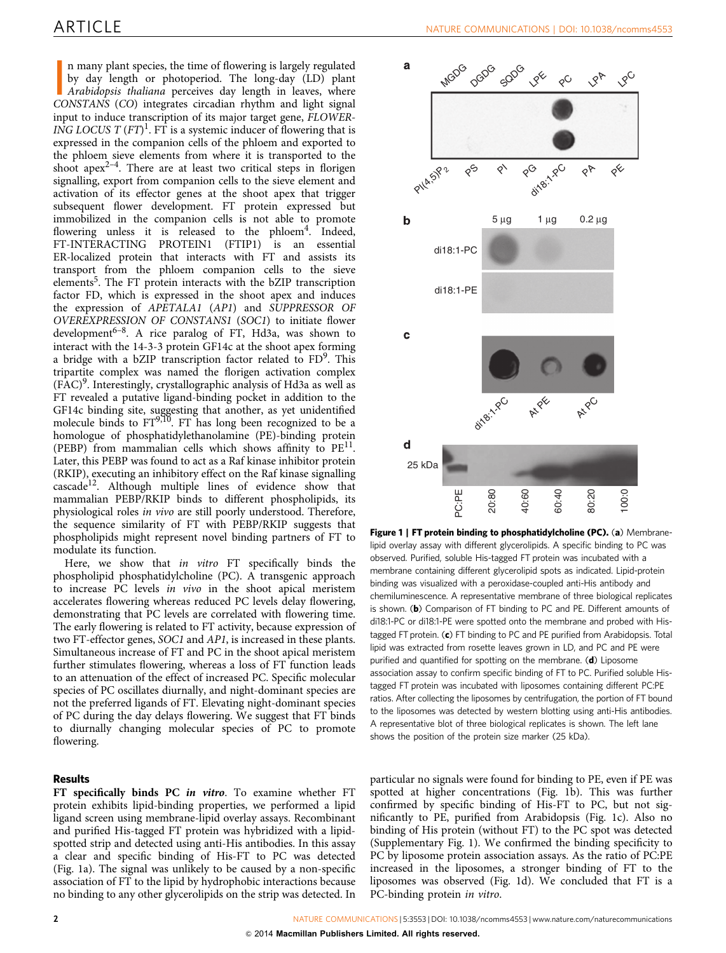<span id="page-1-0"></span>In many plant species, the time of flowering is largely regulated by day length or photoperiod. The long-day (LD) plant Arabidopsis thaliana perceives day length in leaves, where CONSTANS (CO) integrates circadian rhythm a n many plant species, the time of flowering is largely regulated by day length or photoperiod. The long-day (LD) plant Arabidopsis thaliana perceives day length in leaves, where input to induce transcription of its major target gene, FLOWER-ING LOCUS T  $(FT)^1$ . FT is a systemic inducer of flowering that is expressed in the companion cells of the phloem and exported to the phloem sieve elements from where it is transported to the shoot apex<sup>2-4</sup>. There are at least two critical steps in florigen signalling, export from companion cells to the sieve element and activation of its effector genes at the shoot apex that trigger subsequent flower development. FT protein expressed but immobilized in the companion cells is not able to promote flowering unless it is released to the phloem<sup>[4](#page-5-0)</sup>. Indeed, FT-INTERACTING PROTEIN1 (FTIP1) is an essential ER-localized protein that interacts with FT and assists its transport from the phloem companion cells to the sieve elements<sup>5</sup>. The FT protein interacts with the bZIP transcription factor FD, which is expressed in the shoot apex and induces the expression of APETALA1 (AP1) and SUPPRESSOR OF OVEREXPRESSION OF CONSTANS1 (SOC1) to initiate flower development<sup>6-8</sup>. A rice paralog of FT, Hd3a, was shown to interact with the 14-3-3 protein GF14c at the shoot apex forming a bridge with a bZIP transcription factor related to  $FD<sup>9</sup>$ . This tripartite complex was named the florigen activation complex  $(FAC)^9$  $(FAC)^9$ . Interestingly, crystallographic analysis of Hd3a as well as FT revealed a putative ligand-binding pocket in addition to the GF14c binding site, suggesting that another, as yet unidentified molecule binds to  $FT^{9,10}$  $FT^{9,10}$  $FT^{9,10}$ . FT has long been recognized to be a homologue of phosphatidylethanolamine (PE)-binding protein (PEBP) from mammalian cells which shows affinity to  $PE<sup>11</sup>$ . Later, this PEBP was found to act as a Raf kinase inhibitor protein (RKIP), executing an inhibitory effect on the Raf kinase signalling  $cascade<sup>12</sup>$  $cascade<sup>12</sup>$  $cascade<sup>12</sup>$ . Although multiple lines of evidence show that mammalian PEBP/RKIP binds to different phospholipids, its physiological roles in vivo are still poorly understood. Therefore, the sequence similarity of FT with PEBP/RKIP suggests that phospholipids might represent novel binding partners of FT to modulate its function.

Here, we show that in vitro FT specifically binds the phospholipid phosphatidylcholine (PC). A transgenic approach to increase PC levels in vivo in the shoot apical meristem accelerates flowering whereas reduced PC levels delay flowering, demonstrating that PC levels are correlated with flowering time. The early flowering is related to FT activity, because expression of two FT-effector genes, SOC1 and AP1, is increased in these plants. Simultaneous increase of FT and PC in the shoot apical meristem further stimulates flowering, whereas a loss of FT function leads to an attenuation of the effect of increased PC. Specific molecular species of PC oscillates diurnally, and night-dominant species are not the preferred ligands of FT. Elevating night-dominant species of PC during the day delays flowering. We suggest that FT binds to diurnally changing molecular species of PC to promote flowering.

#### Results

FT specifically binds PC in vitro. To examine whether FT protein exhibits lipid-binding properties, we performed a lipid ligand screen using membrane-lipid overlay assays. Recombinant and purified His-tagged FT protein was hybridized with a lipidspotted strip and detected using anti-His antibodies. In this assay a clear and specific binding of His-FT to PC was detected (Fig. 1a). The signal was unlikely to be caused by a non-specific association of FT to the lipid by hydrophobic interactions because no binding to any other glycerolipids on the strip was detected. In



Figure 1 | FT protein binding to phosphatidylcholine (PC). (a) Membranelipid overlay assay with different glycerolipids. A specific binding to PC was observed. Purified, soluble His-tagged FT protein was incubated with a membrane containing different glycerolipid spots as indicated. Lipid-protein binding was visualized with a peroxidase-coupled anti-His antibody and chemiluminescence. A representative membrane of three biological replicates is shown. (b) Comparison of FT binding to PC and PE. Different amounts of di18:1-PC or di18:1-PE were spotted onto the membrane and probed with Histagged FT protein. (c) FT binding to PC and PE purified from Arabidopsis. Total lipid was extracted from rosette leaves grown in LD, and PC and PE were purified and quantified for spotting on the membrane. (d) Liposome association assay to confirm specific binding of FT to PC. Purified soluble Histagged FT protein was incubated with liposomes containing different PC:PE ratios. After collecting the liposomes by centrifugation, the portion of FT bound to the liposomes was detected by western blotting using anti-His antibodies. A representative blot of three biological replicates is shown. The left lane shows the position of the protein size marker (25 kDa).

particular no signals were found for binding to PE, even if PE was spotted at higher concentrations (Fig. 1b). This was further confirmed by specific binding of His-FT to PC, but not significantly to PE, purified from Arabidopsis (Fig. 1c). Also no binding of His protein (without FT) to the PC spot was detected (Supplementary Fig. 1). We confirmed the binding specificity to PC by liposome protein association assays. As the ratio of PC:PE increased in the liposomes, a stronger binding of FT to the liposomes was observed (Fig. 1d). We concluded that FT is a PC-binding protein in vitro.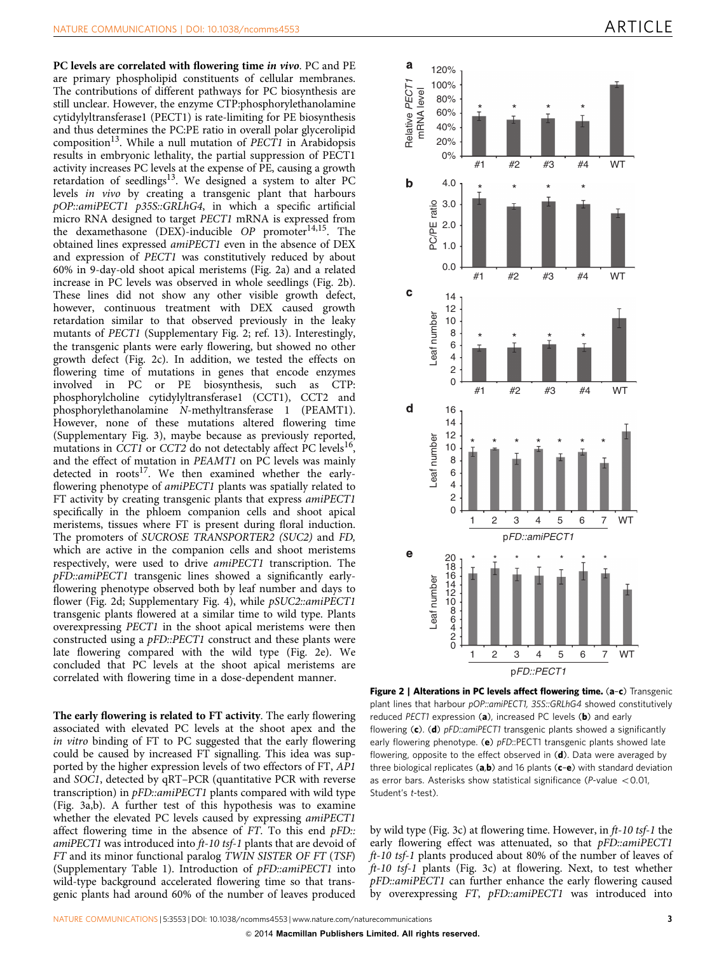<span id="page-2-0"></span>PC levels are correlated with flowering time in vivo. PC and PE are primary phospholipid constituents of cellular membranes. The contributions of different pathways for PC biosynthesis are still unclear. However, the enzyme CTP:phosphorylethanolamine cytidylyltransferase1 (PECT1) is rate-limiting for PE biosynthesis and thus determines the PC:PE ratio in overall polar glycerolipid composition<sup>13</sup>. While a null mutation of *PECT1* in Arabidopsis results in embryonic lethality, the partial suppression of PECT1 activity increases PC levels at the expense of PE, causing a growth retardation of seedlings<sup>[13](#page-5-0)</sup>. We designed a system to alter PC levels in vivo by creating a transgenic plant that harbours pOP::amiPECT1 p35S::GRLhG4, in which a specific artificial micro RNA designed to target PECT1 mRNA is expressed from the dexamethasone (DEX)-inducible OP promoter<sup>14,15</sup>. The obtained lines expressed amiPECT1 even in the absence of DEX and expression of PECT1 was constitutively reduced by about 60% in 9-day-old shoot apical meristems (Fig. 2a) and a related increase in PC levels was observed in whole seedlings (Fig. 2b). These lines did not show any other visible growth defect, however, continuous treatment with DEX caused growth retardation similar to that observed previously in the leaky mutants of PECT1 (Supplementary Fig. 2; [ref. 13\)](#page-5-0). Interestingly, the transgenic plants were early flowering, but showed no other growth defect (Fig. 2c). In addition, we tested the effects on flowering time of mutations in genes that encode enzymes involved in PC or PE biosynthesis, such as CTP: involved in PC or PE biosynthesis, phosphorylcholine cytidylyltransferase1 (CCT1), CCT2 and phosphorylethanolamine N-methyltransferase 1 (PEAMT1). However, none of these mutations altered flowering time (Supplementary Fig. 3), maybe because as previously reported, mutations in CCT1 or CCT2 do not detectably affect PC levels<sup>16</sup>, and the effect of mutation in PEAMT1 on PC levels was mainly detected in  $roots^{17}$  $roots^{17}$  $roots^{17}$ . We then examined whether the earlyflowering phenotype of amiPECT1 plants was spatially related to FT activity by creating transgenic plants that express amiPECT1 specifically in the phloem companion cells and shoot apical meristems, tissues where FT is present during floral induction. The promoters of SUCROSE TRANSPORTER2 (SUC2) and FD, which are active in the companion cells and shoot meristems respectively, were used to drive amiPECT1 transcription. The pFD::amiPECT1 transgenic lines showed a significantly earlyflowering phenotype observed both by leaf number and days to flower (Fig. 2d; Supplementary Fig. 4), while  $pSUC2::amiPECT1$ transgenic plants flowered at a similar time to wild type. Plants overexpressing PECT1 in the shoot apical meristems were then constructed using a pFD::PECT1 construct and these plants were late flowering compared with the wild type (Fig. 2e). We concluded that PC levels at the shoot apical meristems are correlated with flowering time in a dose-dependent manner.

The early flowering is related to FT activity. The early flowering associated with elevated PC levels at the shoot apex and the in vitro binding of FT to PC suggested that the early flowering could be caused by increased FT signalling. This idea was supported by the higher expression levels of two effectors of FT, AP1 and SOC1, detected by qRT–PCR (quantitative PCR with reverse transcription) in *pFD*::amiPECT1 plants compared with wild type ([Fig. 3a,b](#page-3-0)). A further test of this hypothesis was to examine whether the elevated PC levels caused by expressing amiPECT1 affect flowering time in the absence of  $FT$ . To this end  $pFD$ :: amiPECT1 was introduced into ft-10 tsf-1 plants that are devoid of FT and its minor functional paralog TWIN SISTER OF FT (TSF) (Supplementary Table 1). Introduction of pFD::amiPECT1 into wild-type background accelerated flowering time so that transgenic plants had around 60% of the number of leaves produced



Figure 2 | Alterations in PC levels affect flowering time. (a-c) Transgenic plant lines that harbour pOP::amiPECT1, 35S::GRLhG4 showed constitutively reduced PECT1 expression (a), increased PC levels (b) and early flowering (c). (d) pFD:: amiPECT1 transgenic plants showed a significantly early flowering phenotype. (e) pFD::PECT1 transgenic plants showed late flowering, opposite to the effect observed in  $(d)$ . Data were averaged by three biological replicates (a,b) and 16 plants (c-e) with standard deviation as error bars. Asterisks show statistical significance ( $P$ -value < 0.01, Student's t-test).

by wild type [\(Fig. 3c\)](#page-3-0) at flowering time. However, in ft-10 tsf-1 the early flowering effect was attenuated, so that pFD::amiPECT1 ft-10 tsf-1 plants produced about 80% of the number of leaves of ft-10 tsf-1 plants [\(Fig. 3c](#page-3-0)) at flowering. Next, to test whether pFD::amiPECT1 can further enhance the early flowering caused by overexpressing FT, pFD::amiPECT1 was introduced into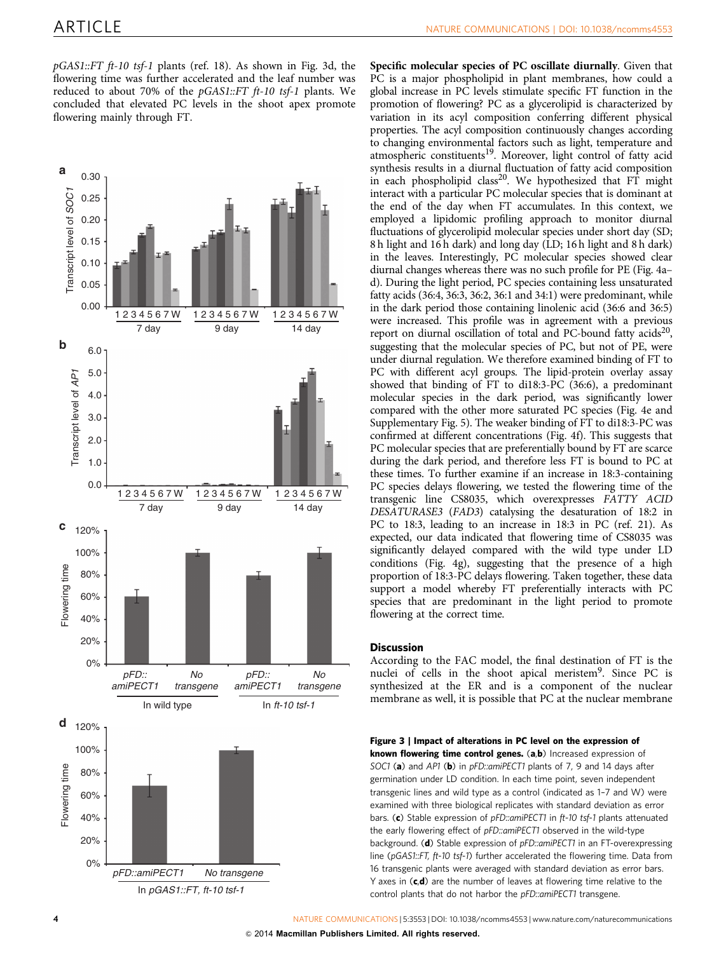<span id="page-3-0"></span> $pGAS1::FT$  ft-10 tsf-1 plants [\(ref. 18](#page-5-0)). As shown in Fig. 3d, the flowering time was further accelerated and the leaf number was reduced to about 70% of the pGAS1::FT ft-10 tsf-1 plants. We concluded that elevated PC levels in the shoot apex promote flowering mainly through FT.



Specific molecular species of PC oscillate diurnally. Given that PC is a major phospholipid in plant membranes, how could a global increase in PC levels stimulate specific FT function in the promotion of flowering? PC as a glycerolipid is characterized by variation in its acyl composition conferring different physical properties. The acyl composition continuously changes according to changing environmental factors such as light, temperature and atmospheric constituents<sup>19</sup>. Moreover, light control of fatty acid synthesis results in a diurnal fluctuation of fatty acid composition in each phospholipid class<sup>20</sup>. We hypothesized that FT might interact with a particular PC molecular species that is dominant at the end of the day when FT accumulates. In this context, we employed a lipidomic profiling approach to monitor diurnal fluctuations of glycerolipid molecular species under short day (SD; 8 h light and 16 h dark) and long day (LD; 16 h light and 8 h dark) in the leaves. Interestingly, PC molecular species showed clear diurnal changes whereas there was no such profile for PE [\(Fig. 4a–](#page-4-0) [d](#page-4-0)). During the light period, PC species containing less unsaturated fatty acids (36:4, 36:3, 36:2, 36:1 and 34:1) were predominant, while in the dark period those containing linolenic acid (36:6 and 36:5) were increased. This profile was in agreement with a previous report on diurnal oscillation of total and PC-bound fatty acids<sup>20</sup>, suggesting that the molecular species of PC, but not of PE, were under diurnal regulation. We therefore examined binding of FT to PC with different acyl groups. The lipid-protein overlay assay showed that binding of FT to di18:3-PC (36:6), a predominant molecular species in the dark period, was significantly lower compared with the other more saturated PC species [\(Fig. 4e](#page-4-0) and Supplementary Fig. 5). The weaker binding of FT to di18:3-PC was confirmed at different concentrations [\(Fig. 4f](#page-4-0)). This suggests that PC molecular species that are preferentially bound by FT are scarce during the dark period, and therefore less FT is bound to PC at these times. To further examine if an increase in 18:3-containing PC species delays flowering, we tested the flowering time of the transgenic line CS8035, which overexpresses FATTY ACID DESATURASE3 (FAD3) catalysing the desaturation of 18:2 in PC to 18:3, leading to an increase in 18:3 in PC ([ref. 21](#page-5-0)). As expected, our data indicated that flowering time of CS8035 was significantly delayed compared with the wild type under LD conditions ([Fig. 4g\)](#page-4-0), suggesting that the presence of a high proportion of 18:3-PC delays flowering. Taken together, these data support a model whereby FT preferentially interacts with PC species that are predominant in the light period to promote flowering at the correct time.

#### **Discussion**

According to the FAC model, the final destination of FT is the nuclei of cells in the shoot apical meristem<sup>9</sup>. Since PC is synthesized at the ER and is a component of the nuclear membrane as well, it is possible that PC at the nuclear membrane

Figure 3 | Impact of alterations in PC level on the expression of known flowering time control genes. (a,b) Increased expression of SOC1 (a) and AP1 (b) in pFD::amiPECT1 plants of 7, 9 and 14 days after germination under LD condition. In each time point, seven independent transgenic lines and wild type as a control (indicated as 1–7 and W) were examined with three biological replicates with standard deviation as error bars. (c) Stable expression of pFD::amiPECT1 in ft-10 tsf-1 plants attenuated the early flowering effect of pFD::amiPECT1 observed in the wild-type background. (d) Stable expression of pFD::amiPECT1 in an FT-overexpressing line (pGAS1::FT, ft-10 tsf-1) further accelerated the flowering time. Data from 16 transgenic plants were averaged with standard deviation as error bars. Y axes in  $(c,d)$  are the number of leaves at flowering time relative to the control plants that do not harbor the pFD:: amiPECT1 transgene.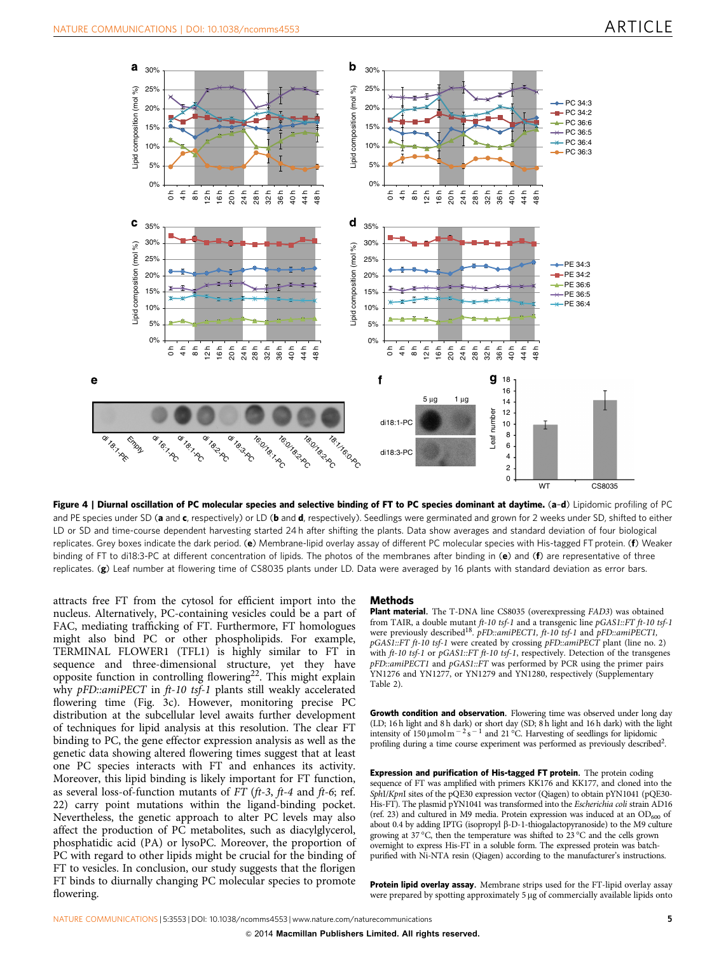<span id="page-4-0"></span>

Figure 4 | Diurnal oscillation of PC molecular species and selective binding of FT to PC species dominant at daytime. (a-d) Lipidomic profiling of PC and PE species under SD (a and c, respectively) or LD (b and d, respectively). Seedlings were germinated and grown for 2 weeks under SD, shifted to either LD or SD and time-course dependent harvesting started 24 h after shifting the plants. Data show averages and standard deviation of four biological replicates. Grey boxes indicate the dark period. (e) Membrane-lipid overlay assay of different PC molecular species with His-tagged FT protein. (f) Weaker binding of FT to di18:3-PC at different concentration of lipids. The photos of the membranes after binding in (e) and (f) are representative of three replicates. (g) Leaf number at flowering time of CS8035 plants under LD. Data were averaged by 16 plants with standard deviation as error bars.

attracts free FT from the cytosol for efficient import into the nucleus. Alternatively, PC-containing vesicles could be a part of FAC, mediating trafficking of FT. Furthermore, FT homologues might also bind PC or other phospholipids. For example, TERMINAL FLOWER1 (TFL1) is highly similar to FT in sequence and three-dimensional structure, yet they have opposite function in controlling flowering<sup>22</sup>. This might explain why pFD::amiPECT in ft-10 tsf-1 plants still weakly accelerated flowering time [\(Fig. 3c](#page-3-0)). However, monitoring precise PC distribution at the subcellular level awaits further development of techniques for lipid analysis at this resolution. The clear FT binding to PC, the gene effector expression analysis as well as the genetic data showing altered flowering times suggest that at least one PC species interacts with FT and enhances its activity. Moreover, this lipid binding is likely important for FT function, as several loss-of-function mutants of  $FT$  ( $ft-3$ ,  $ft-4$  and  $ft-6$ ; [ref.](#page-5-0) [22\)](#page-5-0) carry point mutations within the ligand-binding pocket. Nevertheless, the genetic approach to alter PC levels may also affect the production of PC metabolites, such as diacylglycerol, phosphatidic acid (PA) or lysoPC. Moreover, the proportion of PC with regard to other lipids might be crucial for the binding of FT to vesicles. In conclusion, our study suggests that the florigen FT binds to diurnally changing PC molecular species to promote flowering.

#### Methods

Plant material. The T-DNA line CS8035 (overexpressing FAD3) was obtained from TAIR, a double mutant  $ft-10$  tsf-1 and a transgenic line  $pGAS1::FT$   $ft-10$  tsf-1 were previously described<sup>[18](#page-5-0)</sup>. pFD::amiPECT1, ft-10 tsf-1 and pFD::amiPECT1, pGAS1::FT ft-10 tsf-1 were created by crossing pFD::amiPECT plant (line no. 2) with ft-10 tsf-1 or pGAS1::FT ft-10 tsf-1, respectively. Detection of the transgenes pFD::amiPECT1 and pGAS1::FT was performed by PCR using the primer pairs YN1276 and YN1277, or YN1279 and YN1280, respectively (Supplementary Table 2).

Growth condition and observation. Flowering time was observed under long day (LD; 16 h light and 8 h dark) or short day (SD; 8 h light and 16 h dark) with the light intensity of 150  $\mu$ mol m<sup>-2</sup>s<sup>-1</sup> and 21°C. Harvesting of seedlings for lipidomic profiling during a time course experiment was performed as previously described<sup>2</sup>.

Expression and purification of His-tagged FT protein. The protein coding sequence of FT was amplified with primers KK176 and KK177, and cloned into the SphI/KpnI sites of the pQE30 expression vector (Qiagen) to obtain pYN1041 (pQE30-His-FT). The plasmid pYN1041 was transformed into the Escherichia coli strain AD16 [\(ref. 23\)](#page-5-0) and cultured in M9 media. Protein expression was induced at an  $OD_{600}$  of about 0.4 by adding IPTG (isopropyl  $\beta$ -D-1-thiogalactopyranoside) to the M9 culture growing at 37 °C, then the temperature was shifted to 23 °C and the cells grown overnight to express His-FT in a soluble form. The expressed protein was batchpurified with Ni-NTA resin (Qiagen) according to the manufacturer's instructions.

Protein lipid overlay assay. Membrane strips used for the FT-lipid overlay assay were prepared by spotting approximately 5 µg of commercially available lipids onto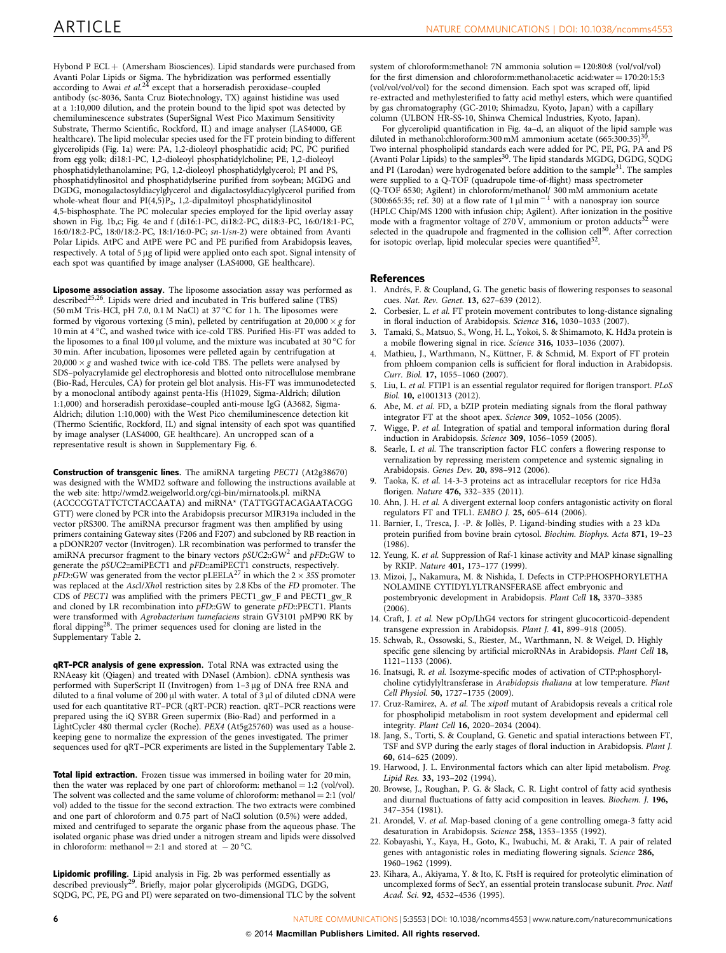<span id="page-5-0"></span>Hybond P ECL + (Amersham Biosciences). Lipid standards were purchased from Avanti Polar Lipids or Sigma. The hybridization was performed essentially<br>according to Awai *et al.<sup>[24](#page-6-0)</sup>* except that a horseradish peroxidase–coupled antibody (sc-8036, Santa Cruz Biotechnology, TX) against histidine was used at a 1:10,000 dilution, and the protein bound to the lipid spot was detected by chemiluminescence substrates (SuperSignal West Pico Maximum Sensitivity Substrate, Thermo Scientific, Rockford, IL) and image analyser (LAS4000, GE healthcare). The lipid molecular species used for the FT protein binding to different glycerolipids [\(Fig. 1a\)](#page-1-0) were: PA, 1,2-dioleoyl phosphatidic acid; PC, PC purified from egg yolk; di18:1-PC, 1,2-dioleoyl phosphatidylcholine; PE, 1,2-dioleoyl phosphatidylethanolamine; PG, 1,2-dioleoyl phosphatidylglycerol; PI and PS, phosphatidylinositol and phosphatidylserine purified from soybean; MGDG and DGDG, monogalactosyldiacylglycerol and digalactosyldiacylglycerol purified from whole-wheat flour and  $PI(4,5)P_2$ , 1,2-dipalmitoyl phosphatidylinositol 4,5-bisphosphate. The PC molecular species employed for the lipid overlay assay shown in [Fig. 1b,c;](#page-1-0) [Fig. 4e and f](#page-4-0) (di16:1-PC, di18:2-PC, di18:3-PC, 16:0/18:1-PC, 16:0/18:2-PC, 18:0/18:2-PC, 18:1/16:0-PC; sn-1/sn-2) were obtained from Avanti Polar Lipids. AtPC and AtPE were PC and PE purified from Arabidopsis leaves, respectively. A total of 5 µg of lipid were applied onto each spot. Signal intensity of each spot was quantified by image analyser (LAS4000, GE healthcare).

Liposome association assay. The liposome association assay was performed as described<sup>25,26</sup>. Lipids were dried and incubated in Tris buffered saline (TBS) (50 mM Tris-HCl, pH 7.0, 0.1 M NaCl) at 37  $^{\circ}$ C for 1 h. The liposomes were formed by vigorous vortexing (5 min), pelleted by centrifugation at  $20,000 \times g$  for 10 min at  $4^{\circ}$ C, and washed twice with ice-cold TBS. Purified His-FT was added to the liposomes to a final 100 µl volume, and the mixture was incubated at 30 °C for 30 min. After incubation, liposomes were pelleted again by centrifugation at  $20,000 \times g$  and washed twice with ice-cold TBS. The pellets were analysed by SDS–polyacrylamide gel electrophoresis and blotted onto nitrocellulose membrane (Bio-Rad, Hercules, CA) for protein gel blot analysis. His-FT was immunodetected by a monoclonal antibody against penta-His (H1029, Sigma-Aldrich; dilution 1:1,000) and horseradish peroxidase–coupled anti-mouse IgG (A3682, Sigma-Aldrich; dilution 1:10,000) with the West Pico chemiluminescence detection kit (Thermo Scientific, Rockford, IL) and signal intensity of each spot was quantified by image analyser (LAS4000, GE healthcare). An uncropped scan of a representative result is shown in Supplementary Fig. 6.

Construction of transgenic lines. The amiRNA targeting PECT1 (At2g38670) was designed with the WMD2 software and following the instructions available at the web site: [http://wmd2.weigelworld.org/cgi-bin/mirnatools.pl.](http://wmd2.weigelworld.org/cgi-bin/mirnatools.pl) miRNA (ACCCCGTATTCTCTACCAATA) and miRNA\* (TATTGGTACAGAATACGG GTT) were cloned by PCR into the Arabidopsis precursor MIR319a included in the vector pRS300. The amiRNA precursor fragment was then amplified by using primers containing Gateway sites (F206 and F207) and subcloned by RB reaction in a pDONR207 vector (Invitrogen). LR recombination was performed to transfer the amiRNA precursor fragment to the binary vectors  $pSUC2::GW<sup>2</sup>$  and  $pFD::GW$  to generate the pSUC2::amiPECT1 and pFD::amiPECT1 constructs, respectively.  $pFD::GW$  was generated from the vector  $pLEELA^{27}$  $pLEELA^{27}$  $pLEELA^{27}$  in which the  $2 \times 35S$  promoter was replaced at the AscI/XhoI restriction sites by 2.8 Kbs of the FD promoter. The CDS of PECT1 was amplified with the primers PECT1\_gw\_F and PECT1\_gw\_R and cloned by LR recombination into pFD::GW to generate pFD::PECT1. Plants were transformed with Agrobacterium tumefaciens strain GV3101 pMP90 RK by floral dipping<sup>[28](#page-6-0)</sup>. The primer sequences used for cloning are listed in the Supplementary Table 2.

qRT–PCR analysis of gene expression. Total RNA was extracted using the RNAeasy kit (Qiagen) and treated with DNaseI (Ambion). cDNA synthesis was performed with SuperScript II (Invitrogen) from 1-3 µg of DNA free RNA and diluted to a final volume of 200  $\mu$ l with water. A total of 3  $\mu$ l of diluted cDNA were used for each quantitative RT–PCR (qRT-PCR) reaction. qRT–PCR reactions were prepared using the iQ SYBR Green supermix (Bio-Rad) and performed in a LightCycler 480 thermal cycler (Roche). PEX4 (At5g25760) was used as a housekeeping gene to normalize the expression of the genes investigated. The primer sequences used for qRT–PCR experiments are listed in the Supplementary Table 2.

Total lipid extraction. Frozen tissue was immersed in boiling water for 20 min, then the water was replaced by one part of chloroform: methanol  $= 1:2$  (vol/vol). The solvent was collected and the same volume of chloroform: methanol = 2:1 (vol/ vol) added to the tissue for the second extraction. The two extracts were combined and one part of chloroform and 0.75 part of NaCl solution (0.5%) were added, mixed and centrifuged to separate the organic phase from the aqueous phase. The isolated organic phase was dried under a nitrogen stream and lipids were dissolved in chloroform: methanol = 2:1 and stored at  $-20^{\circ}$ C.

Lipidomic profiling. Lipid analysis in [Fig. 2b](#page-2-0) was performed essentially as described previously[29.](#page-6-0) Briefly, major polar glycerolipids (MGDG, DGDG, SQDG, PC, PE, PG and PI) were separated on two-dimensional TLC by the solvent system of chloroform:methanol: 7N ammonia solution =  $120:80:8$  (vol/vol/vol) for the first dimension and chloroform:methanol:acetic acid:water  $= 170:20:15:3$ (vol/vol/vol/vol) for the second dimension. Each spot was scraped off, lipid re-extracted and methylesterified to fatty acid methyl esters, which were quantified by gas chromatography (GC-2010; Shimadzu, Kyoto, Japan) with a capillary column (ULBON HR-SS-10, Shinwa Chemical Industries, Kyoto, Japan).

For glycerolipid quantification in [Fig. 4a–d](#page-4-0), an aliquot of the lipid sample was diluted in methanol:chloroform:[30](#page-6-0)0 mM ammonium acetate (665:300:35)<sup>3</sup> Two internal phospholipid standards each were added for PC, PE, PG, PA and PS<br>(Avanti Polar Lipids) to the samples<sup>[30](#page-6-0)</sup>. The lipid standards MGDG, DGDG, SQDG and PI (Larodan) were hydrogenated before addition to the sample<sup>31</sup>. The samples were supplied to a Q-TOF (quadrupole time-of-flight) mass spectrometer (Q-TOF 6530; Agilent) in chloroform/methanol/ 300 mM ammonium acetate (300:665:35; [ref. 30\)](#page-6-0) at a flow rate of  $1 \mu$ l min<sup>-1</sup> with a nanospray ion source (HPLC Chip/MS 1200 with infusion chip; Agilent). After ionization in the positive mode with a fragmentor voltage of 270 V, ammonium or proton adducts<sup>[32](#page-6-0)</sup> were selected in the quadrupole and fragmented in the collision cell<sup>[30](#page-6-0)</sup>. After correction for isotopic overlap, lipid molecular species were quantified<sup>32</sup>.

#### References

- 1. Andrés, F. & Coupland, G. The genetic basis of flowering responses to seasonal cues. Nat. Rev. Genet. 13, 627–639 (2012).
- Corbesier, L. et al. FT protein movement contributes to long-distance signaling in floral induction of Arabidopsis. Science 316, 1030–1033 (2007).
- 3. Tamaki, S., Matsuo, S., Wong, H. L., Yokoi, S. & Shimamoto, K. Hd3a protein is a mobile flowering signal in rice. Science 316, 1033–1036 (2007).
- 4. Mathieu, J., Warthmann, N., Küttner, F. & Schmid, M. Export of FT protein from phloem companion cells is sufficient for floral induction in Arabidopsis. Curr. Biol. 17, 1055–1060 (2007).
- 5. Liu, L. et al. FTIP1 is an essential regulator required for florigen transport. PLoS Biol. 10, e1001313 (2012).
- 6. Abe, M. et al. FD, a bZIP protein mediating signals from the floral pathway integrator FT at the shoot apex. Science 309, 1052–1056 (2005).
- 7. Wigge, P. et al. Integration of spatial and temporal information during floral induction in Arabidopsis. Science 309, 1056–1059 (2005).
- 8. Searle, I. et al. The transcription factor FLC confers a flowering response to vernalization by repressing meristem competence and systemic signaling in Arabidopsis. Genes Dev. 20, 898–912 (2006).
- 9. Taoka, K. et al. 14-3-3 proteins act as intracellular receptors for rice Hd3a florigen. Nature 476, 332–335 (2011).
- 10. Ahn, J. H. et al. A divergent external loop confers antagonistic activity on floral regulators FT and TFL1. EMBO J. 25, 605–614 (2006).
- 11. Barnier, I., Tresca, J. -P. & Jollès, P. Ligand-binding studies with a 23 kDa protein purified from bovine brain cytosol. Biochim. Biophys. Acta 871, 19–23 (1986).
- 12. Yeung, K. et al. Suppression of Raf-1 kinase activity and MAP kinase signalling by RKIP. Nature 401, 173–177 (1999).
- 13. Mizoi, J., Nakamura, M. & Nishida, I. Defects in CTP:PHOSPHORYLETHA NOLAMINE CYTIDYLYLTRANSFERASE affect embryonic and postembryonic development in Arabidopsis. Plant Cell 18, 3370–3385  $(2006)$ .
- 14. Craft, J. et al. New pOp/LhG4 vectors for stringent glucocorticoid-dependent transgene expression in Arabidopsis. Plant J. 41, 899–918 (2005).
- 15. Schwab, R., Ossowski, S., Riester, M., Warthmann, N. & Weigel, D. Highly specific gene silencing by artificial microRNAs in Arabidopsis. Plant Cell 18, 1121–1133 (2006).
- 16. Inatsugi, R. et al. Isozyme-specific modes of activation of CTP:phosphorylcholine cytidylyltransferase in Arabidopsis thaliana at low temperature. Plant Cell Physiol. 50, 1727–1735 (2009).
- 17. Cruz-Ramirez, A. et al. The xipotl mutant of Arabidopsis reveals a critical role for phospholipid metabolism in root system development and epidermal cell integrity. Plant Cell 16, 2020–2034 (2004).
- 18. Jang, S., Torti, S. & Coupland, G. Genetic and spatial interactions between FT, TSF and SVP during the early stages of floral induction in Arabidopsis. Plant J. 60, 614–625 (2009).
- 19. Harwood, J. L. Environmental factors which can alter lipid metabolism. Prog. Lipid Res. 33, 193–202 (1994).
- 20. Browse, J., Roughan, P. G. & Slack, C. R. Light control of fatty acid synthesis and diurnal fluctuations of fatty acid composition in leaves. Biochem. J. 196, 347–354 (1981).
- 21. Arondel, V. et al. Map-based cloning of a gene controlling omega-3 fatty acid desaturation in Arabidopsis. Science 258, 1353-1355 (1992)
- 22. Kobayashi, Y., Kaya, H., Goto, K., Iwabuchi, M. & Araki, T. A pair of related genes with antagonistic roles in mediating flowering signals. Science 286, 1960–1962 (1999).
- 23. Kihara, A., Akiyama, Y. & Ito, K. FtsH is required for proteolytic elimination of uncomplexed forms of SecY, an essential protein translocase subunit. Proc. Natl Acad. Sci. 92, 4532–4536 (1995).